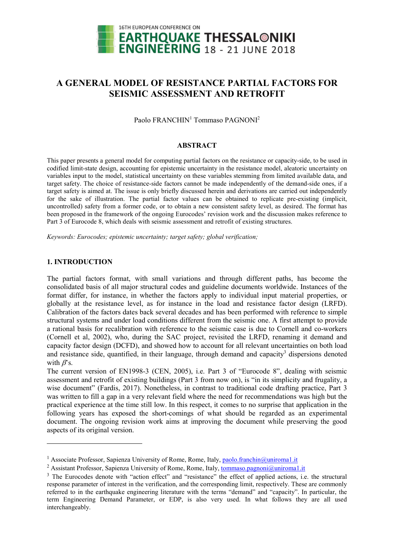

# A GENERAL MODEL OF RESISTANCE PARTIAL FACTORS FOR SEISMIC ASSESSMENT AND RETROFIT

Paolo FRANCHIN<sup>1</sup> Tommaso PAGNONI<sup>2</sup>

## ABSTRACT

This paper presents a general model for computing partial factors on the resistance or capacity-side, to be used in codified limit-state design, accounting for epistemic uncertainty in the resistance model, aleatoric uncertainty on variables input to the model, statistical uncertainty on these variables stemming from limited available data, and target safety. The choice of resistance-side factors cannot be made independently of the demand-side ones, if a target safety is aimed at. The issue is only briefly discussed herein and derivations are carried out independently for the sake of illustration. The partial factor values can be obtained to replicate pre-existing (implicit, uncontrolled) safety from a former code, or to obtain a new consistent safety level, as desired. The format has been proposed in the framework of the ongoing Eurocodes' revision work and the discussion makes reference to Part 3 of Eurocode 8, which deals with seismic assessment and retrofit of existing structures.

Keywords: Eurocodes; epistemic uncertainty; target safety; global verification;

# 1. INTRODUCTION

-

The partial factors format, with small variations and through different paths, has become the consolidated basis of all major structural codes and guideline documents worldwide. Instances of the format differ, for instance, in whether the factors apply to individual input material properties, or globally at the resistance level, as for instance in the load and resistance factor design (LRFD). Calibration of the factors dates back several decades and has been performed with reference to simple structural systems and under load conditions different from the seismic one. A first attempt to provide a rational basis for recalibration with reference to the seismic case is due to Cornell and co-workers (Cornell et al, 2002), who, during the SAC project, revisited the LRFD, renaming it demand and capacity factor design (DCFD), and showed how to account for all relevant uncertainties on both load and resistance side, quantified, in their language, through demand and capacity<sup>3</sup> dispersions denoted with  $\beta$ 's.

The current version of EN1998-3 (CEN, 2005), i.e. Part 3 of "Eurocode 8", dealing with seismic assessment and retrofit of existing buildings (Part 3 from now on), is "in its simplicity and frugality, a wise document" (Fardis, 2017). Nonetheless, in contrast to traditional code drafting practice, Part 3 was written to fill a gap in a very relevant field where the need for recommendations was high but the practical experience at the time still low. In this respect, it comes to no surprise that application in the following years has exposed the short-comings of what should be regarded as an experimental document. The ongoing revision work aims at improving the document while preserving the good aspects of its original version.

<sup>&</sup>lt;sup>1</sup> Associate Professor, Sapienza University of Rome, Rome, Italy, paolo.franchin@uniroma1.it

<sup>&</sup>lt;sup>2</sup> Assistant Professor, Sapienza University of Rome, Rome, Italy, tommaso.pagnoni@uniroma1.it

<sup>&</sup>lt;sup>3</sup> The Eurocodes denote with "action effect" and "resistance" the effect of applied actions, i.e. the structural response parameter of interest in the verification, and the corresponding limit, respectively. These are commonly referred to in the earthquake engineering literature with the terms "demand" and "capacity". In particular, the term Engineering Demand Parameter, or EDP, is also very used. In what follows they are all used interchangeably.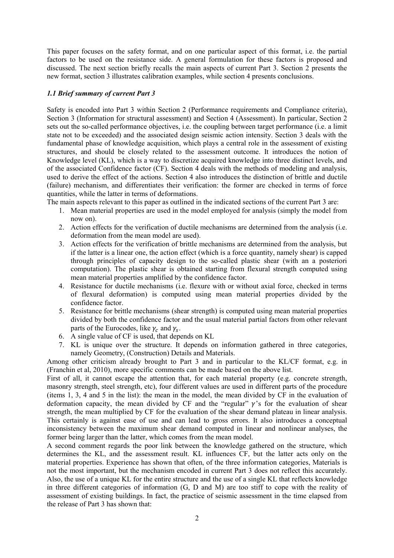This paper focuses on the safety format, and on one particular aspect of this format, i.e. the partial factors to be used on the resistance side. A general formulation for these factors is proposed and discussed. The next section briefly recalls the main aspects of current Part 3. Section 2 presents the new format, section 3 illustrates calibration examples, while section 4 presents conclusions.

# 1.1 Brief summary of current Part 3

Safety is encoded into Part 3 within Section 2 (Performance requirements and Compliance criteria), Section 3 (Information for structural assessment) and Section 4 (Assessment). In particular, Section 2 sets out the so-called performance objectives, i.e. the coupling between target performance (i.e. a limit state not to be exceeded) and the associated design seismic action intensity. Section 3 deals with the fundamental phase of knowledge acquisition, which plays a central role in the assessment of existing structures, and should be closely related to the assessment outcome. It introduces the notion of Knowledge level (KL), which is a way to discretize acquired knowledge into three distinct levels, and of the associated Confidence factor (CF). Section 4 deals with the methods of modeling and analysis, used to derive the effect of the actions. Section 4 also introduces the distinction of brittle and ductile (failure) mechanism, and differentiates their verification: the former are checked in terms of force quantities, while the latter in terms of deformations.

The main aspects relevant to this paper as outlined in the indicated sections of the current Part 3 are:

- 1. Mean material properties are used in the model employed for analysis (simply the model from now on).
- 2. Action effects for the verification of ductile mechanisms are determined from the analysis (i.e. deformation from the mean model are used).
- 3. Action effects for the verification of brittle mechanisms are determined from the analysis, but if the latter is a linear one, the action effect (which is a force quantity, namely shear) is capped through principles of capacity design to the so-called plastic shear (with an a posteriori computation). The plastic shear is obtained starting from flexural strength computed using mean material properties amplified by the confidence factor.
- 4. Resistance for ductile mechanisms (i.e. flexure with or without axial force, checked in terms of flexural deformation) is computed using mean material properties divided by the confidence factor.
- 5. Resistance for brittle mechanisms (shear strength) is computed using mean material properties divided by both the confidence factor and the usual material partial factors from other relevant parts of the Eurocodes, like  $\gamma_c$  and  $\gamma_s$ .
- 6. A single value of CF is used, that depends on KL
- 7. KL is unique over the structure. It depends on information gathered in three categories, namely Geometry, (Construction) Details and Materials.

Among other criticism already brought to Part 3 and in particular to the KL/CF format, e.g. in (Franchin et al, 2010), more specific comments can be made based on the above list.

First of all, it cannot escape the attention that, for each material property (e.g. concrete strength, masonry strength, steel strength, etc), four different values are used in different parts of the procedure (items 1, 3, 4 and 5 in the list): the mean in the model, the mean divided by CF in the evaluation of deformation capacity, the mean divided by CF and the "regular"  $\gamma$ 's for the evaluation of shear strength, the mean multiplied by CF for the evaluation of the shear demand plateau in linear analysis. This certainly is against ease of use and can lead to gross errors. It also introduces a conceptual inconsistency between the maximum shear demand computed in linear and nonlinear analyses, the former being larger than the latter, which comes from the mean model.

A second comment regards the poor link between the knowledge gathered on the structure, which determines the KL, and the assessment result. KL influences CF, but the latter acts only on the material properties. Experience has shown that often, of the three information categories, Materials is not the most important, but the mechanism encoded in current Part 3 does not reflect this accurately. Also, the use of a unique KL for the entire structure and the use of a single KL that reflects knowledge in three different categories of information (G, D and M) are too stiff to cope with the reality of assessment of existing buildings. In fact, the practice of seismic assessment in the time elapsed from the release of Part 3 has shown that: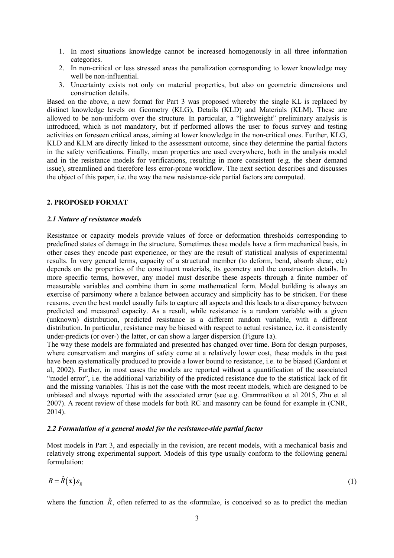- 1. In most situations knowledge cannot be increased homogenously in all three information categories.
- 2. In non-critical or less stressed areas the penalization corresponding to lower knowledge may well be non-influential.
- 3. Uncertainty exists not only on material properties, but also on geometric dimensions and construction details.

Based on the above, a new format for Part 3 was proposed whereby the single KL is replaced by distinct knowledge levels on Geometry (KLG), Details (KLD) and Materials (KLM). These are allowed to be non-uniform over the structure. In particular, a "lightweight" preliminary analysis is introduced, which is not mandatory, but if performed allows the user to focus survey and testing activities on foreseen critical areas, aiming at lower knowledge in the non-critical ones. Further, KLG, KLD and KLM are directly linked to the assessment outcome, since they determine the partial factors in the safety verifications. Finally, mean properties are used everywhere, both in the analysis model and in the resistance models for verifications, resulting in more consistent (e.g. the shear demand issue), streamlined and therefore less error-prone workflow. The next section describes and discusses the object of this paper, i.e. the way the new resistance-side partial factors are computed.

# 2. PROPOSED FORMAT

#### 2.1 Nature of resistance models

Resistance or capacity models provide values of force or deformation thresholds corresponding to predefined states of damage in the structure. Sometimes these models have a firm mechanical basis, in other cases they encode past experience, or they are the result of statistical analysis of experimental results. In very general terms, capacity of a structural member (to deform, bend, absorb shear, etc) depends on the properties of the constituent materials, its geometry and the construction details. In more specific terms, however, any model must describe these aspects through a finite number of measurable variables and combine them in some mathematical form. Model building is always an exercise of parsimony where a balance between accuracy and simplicity has to be stricken. For these reasons, even the best model usually fails to capture all aspects and this leads to a discrepancy between predicted and measured capacity. As a result, while resistance is a random variable with a given (unknown) distribution, predicted resistance is a different random variable, with a different distribution. In particular, resistance may be biased with respect to actual resistance, i.e. it consistently under-predicts (or over-) the latter, or can show a larger dispersion (Figure 1a).

The way these models are formulated and presented has changed over time. Born for design purposes, where conservatism and margins of safety come at a relatively lower cost, these models in the past have been systematically produced to provide a lower bound to resistance, i.e. to be biased (Gardoni et al, 2002). Further, in most cases the models are reported without a quantification of the associated "model error", i.e. the additional variability of the predicted resistance due to the statistical lack of fit and the missing variables. This is not the case with the most recent models, which are designed to be unbiased and always reported with the associated error (see e.g. Grammatikou et al 2015, Zhu et al 2007). A recent review of these models for both RC and masonry can be found for example in (CNR, 2014).

# 2.2 Formulation of a general model for the resistance-side partial factor

Most models in Part 3, and especially in the revision, are recent models, with a mechanical basis and relatively strong experimental support. Models of this type usually conform to the following general formulation:

$$
R = \hat{R}(\mathbf{x})\varepsilon_R
$$
 (1)

where the function  $\hat{R}$ , often referred to as the «formula», is conceived so as to predict the median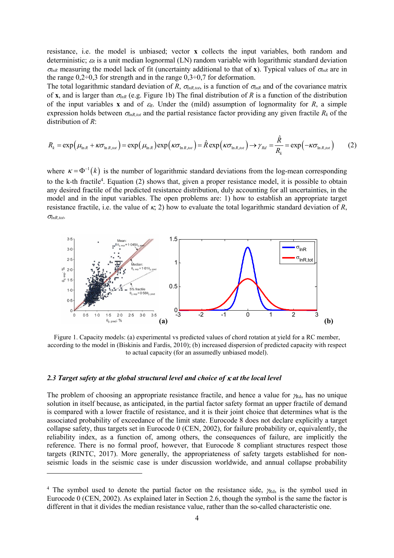resistance, i.e. the model is unbiased; vector x collects the input variables, both random and deterministic;  $\varepsilon_R$  is a unit median lognormal (LN) random variable with logarithmic standard deviation  $\sigma_{lnR}$  measuring the model lack of fit (uncertainty additional to that of x). Typical values of  $\sigma_{lnR}$  are in the range  $0.2\div 0.3$  for strength and in the range  $0.3\div 0.7$  for deformation.

The total logarithmic standard deviation of R,  $\sigma_{lnR, tot}$ , is a function of  $\sigma_{lnR}$  and of the covariance matrix of x, and is larger than  $\sigma_{lnR}$  (e.g. Figure 1b) The final distribution of R is a function of the distribution of the input variables x and of  $\varepsilon_R$ . Under the (mild) assumption of lognormality for R, a simple expression holds between  $\sigma_{lnR,tot}$  and the partial resistance factor providing any given fractile  $R_k$  of the distribution of R: e, i.e. the model is unbiased; vector **x** collects the input variables, both random and<br>sitic;  $\alpha_i$  is a unit median lognormal (LN) random variable with logarithmic standard deviation<br>only me model lack of fit (uncertain

$$
R_{k} = \exp\left(\mu_{\ln R} + \kappa \sigma_{\ln R, tot}\right) = \exp\left(\mu_{\ln R}\right) \exp\left(\kappa \sigma_{\ln R, tot}\right) = \hat{R} \exp\left(\kappa \sigma_{\ln R, tot}\right) \to \gamma_{Rd} = \frac{\hat{R}}{R_{k}} = \exp\left(-\kappa \sigma_{\ln R, tot}\right)
$$
(2)

where  $\kappa = \Phi^{-1}(k)$  is the number of logarithmic standard deviations from the log-mean corresponding to the k-th fractile<sup>4</sup>. Equation (2) shows that, given a proper resistance model, it is possible to obtain any desired fractile of the predicted resistance distribution, duly accounting for all uncertainties, in the model and in the input variables. The open problems are: 1) how to establish an appropriate target resistance fractile, i.e. the value of  $\kappa$ , 2) how to evaluate the total logarithmic standard deviation of R,  $\sigma_{lnR,tot}$ .



Figure 1. Capacity models: (a) experimental vs predicted values of chord rotation at yield for a RC member, according to the model in (Biskinis and Fardis, 2010); (b) increased dispersion of predicted capacity with respect to actual capacity (for an assumedly unbiased model).

# 2.3 Target safety at the global structural level and choice of  $\kappa$  at the local level

-

The problem of choosing an appropriate resistance fractile, and hence a value for  $\gamma_{\text{Rd}}$ , has no unique solution in itself because, as anticipated, in the partial factor safety format an upper fractile of demand is compared with a lower fractile of resistance, and it is their joint choice that determines what is the associated probability of exceedance of the limit state. Eurocode 8 does not declare explicitly a target collapse safety, thus targets set in Eurocode 0 (CEN, 2002), for failure probability or, equivalently, the reliability index, as a function of, among others, the consequences of failure, are implicitly the reference. There is no formal proof, however, that Eurocode 8 compliant structures respect those targets (RINTC, 2017). More generally, the appropriateness of safety targets established for nonseismic loads in the seismic case is under discussion worldwide, and annual collapse probability

<sup>&</sup>lt;sup>4</sup> The symbol used to denote the partial factor on the resistance side,  $\gamma_{\text{Rd}}$ , is the symbol used in Eurocode 0 (CEN, 2002). As explained later in Section 2.6, though the symbol is the same the factor is different in that it divides the median resistance value, rather than the so-called characteristic one.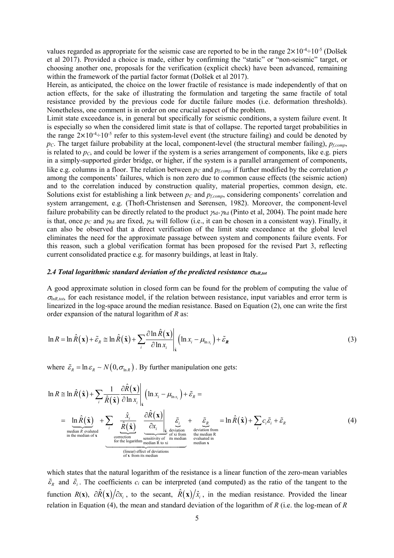values regarded as appropriate for the seismic case are reported to be in the range  $2 \times 10^{-4} \div 10^{-5}$  (Dolšek et al 2017). Provided a choice is made, either by confirming the "static" or "non-seismic" target, or choosing another one, proposals for the verification (explicit check) have been advanced, remaining within the framework of the partial factor format (Dolšek et al 2017).

Herein, as anticipated, the choice on the lower fractile of resistance is made independently of that on action effects, for the sake of illustrating the formulation and targeting the same fractile of total resistance provided by the previous code for ductile failure modes (i.e. deformation thresholds). Nonetheless, one comment is in order on one crucial aspect of the problem.

Limit state exceedance is, in general but specifically for seismic conditions, a system failure event. It is especially so when the considered limit state is that of collapse. The reported target probabilities in the range  $2\times10^{-4}$ :  $10^{-5}$  refer to this system-level event (the structure failing) and could be denoted by  $p<sub>C</sub>$ . The target failure probability at the local, component-level (the structural member failing),  $p<sub>f,comp</sub>$ , is related to  $p<sub>C</sub>$ , and could be lower if the system is a series arrangement of components, like e.g. piers in a simply-supported girder bridge, or higher, if the system is a parallel arrangement of components, like e.g. columns in a floor. The relation between  $p_c$  and  $p_{f,comp}$  if further modified by the correlation  $\rho$ among the components' failures, which is non zero due to common cause effects (the seismic action) and to the correlation induced by construction quality, material properties, common design, etc. Solutions exist for establishing a link between  $p_c$  and  $p_{f,comp}$ , considering components' correlation and system arrangement, e.g. (Thoft-Christensen and Sørensen, 1982). Moreover, the component-level failure probability can be directly related to the product  $\chi_{d}$  (Pinto et al, 2004). The point made here is that, once  $p_c$  and  $p_{\text{Rd}}$  are fixed,  $p_{\text{Sd}}$  will follow (i.e., it can be chosen in a consistent way). Finally, it can also be observed that a direct verification of the limit state exceedance at the global level eliminates the need for the approximate passage between system and components failure events. For this reason, such a global verification format has been proposed for the revised Part 3, reflecting current consolidated practice e.g. for masonry buildings, at least in Italy. Supported grider bridge, or higher, if the system is a parallel arrangement of components,<br>whamps in a floor. The relation between  $p_c$  and  $p_c_{convq}$  if further modified by the correlation  $\rho$ <br>components' failures, which

# 2.4 Total logarithmic standard deviation of the predicted resistance  $\sigma_{lnR,tot}$

A good approximate solution in closed form can be found for the problem of computing the value of  $\sigma_{lnR,tot}$ , for each resistance model, if the relation between resistance, input variables and error term is linearized in the log-space around the median resistance. Based on Equation (2), one can write the first order expansion of the natural logarithm of  *as:* 

$$
\ln R = \ln \hat{R}(\mathbf{x}) + \tilde{\varepsilon}_R \cong \ln \hat{R}(\hat{\mathbf{x}}) + \sum_i \frac{\partial \ln \hat{R}(\mathbf{x})}{\partial \ln x_i} \left[ (\ln x_i - \mu_{\ln x_i}) + \tilde{\varepsilon}_R \right]
$$
(3)

where  $\tilde{\varepsilon}_R = \ln \varepsilon_R \sim N(0, \sigma_{\ln R})$ . By further manipulation one gets:

Hence, 
$$
\vec{v}
$$
 is that, once  $p_c$  and  $\vec{v}$  is the *z*th,  $\vec{v}$  is the *z*th,  $\vec{v}$  is the *z*th,  $\vec{v}$  is the *z*th,  $\vec{v}$  is the *z*th,  $\vec{v}$  is the *z*th,  $\vec{v}$  is the *z*th,  $\vec{v}$  is the *z*th,  $\vec{v}$  is the *z*th,  $\vec{v}$  is the *z*th,  $\vec{v}$  is the *z*th,  $\vec{v}$  is the *z*th,  $\vec{v}$  is the *z*th,  $\vec{v}$  is the *z*th,  $\vec{v}$  is the *z*th,  $\vec{v}$  is the *z*th,  $\vec{v}$  is the *z*th,  $\vec{v}$  is the *z*th,  $\vec{v}$  is the *z*th,  $\vec{v}$  is the *z*th,  $\vec{v}$  is the *z*th,  $\vec{v}$  is the *z*th,  $\vec{v}$  is the *z*th,  $\vec{v}$  is the *z*th,  $\vec{v}$  is the *z*th,  $\vec{v}$  is the *z*th,  $\vec{v}$  is the *z*th,  $\vec{v}$  is the *z*th,  $\vec{v}$  is the *z*th,  $\vec{v}$  is the *z*th,  $\vec{v}$  is the *z*th,  $\vec{v}$  is the *z*th,  $\vec{v}$  is the *z*th,  $\vec{v}$  is the *z*th,  $\vec{v}$  is the *z*th,  $\vec{v}$  is the *z*th,  $\vec{v}$  is the *z*th,

which states that the natural logarithm of the resistance is a linear function of the zero-mean variables  $\tilde{\varepsilon}_p$  and  $\tilde{\varepsilon}_i$ . The coefficients  $c_i$  can be interpreted (and computed) as the ratio of the tangent to the function  $R(x)$ ,  $\partial \hat{R}(x)/\partial x_i$ , to the secant,  $\hat{R}(x)/\hat{x}_i$ , in the median resistance. Provided the linear relation in Equation (4), the mean and standard deviation of the logarithm of R (i.e. the log-mean of R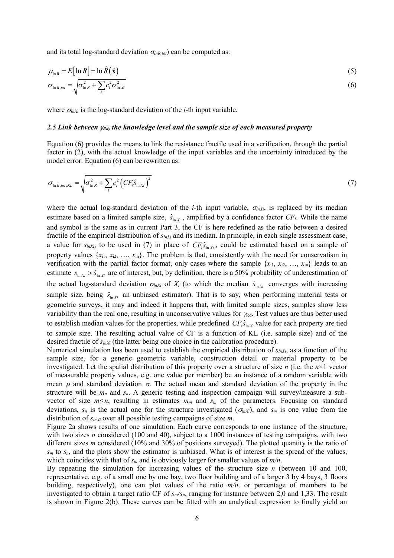and its total log-standard deviation  $\sigma_{lnR, tot}$ ) can be computed as:

and its total log-standard deviation 
$$
\sigma_{lnR,tot}
$$
 can be computed as:  
\n
$$
\mu_{lnR} = E[ln R] = ln \hat{R}(\hat{x})
$$
\n(5)  
\n
$$
\sigma_{lnR,tot} = \sqrt{\sigma_{lnR}^2 + \sum_i c_i^2 \sigma_{lnR}^2}
$$
\n(6)  
\nwhere  $\sigma_{lnN}$  is the log-standard deviation of the *i*-th input variable.  
\n2.5 Link between  $\gamma_{Rd}$ , the knowledge level and the sample size of each measured property  
\nEquation (6) provides the means to link the resistance fractile used in a verification, through the partial  
\nfactor in (2), with the actual knowledge of the input variables and the uncertainty introduced by the  
\nmodel error. Equation (6) can be rewritten as:  
\n
$$
\sigma_{lnR,tot,KL} = \sqrt{\sigma_{lnR}^2 + \sum_i c_i^2 (CF_i \hat{s}_{lnXi})^2}
$$
\n(7)  
\nwhere the actual log-standard deviation of the *i*-th input variable,  $\sigma_{lnXi}$ , is replaced by its median  
\nestimate based on a limited sample size,  $\hat{s}_{lnXi}$ , amplified by a confidence factor *CF<sub>i</sub>*. While the name

where  $\sigma_{lnXi}$  is the log-standard deviation of the *i*-th input variable.

# 2.5 Link between  $\gamma_{Rd}$ , the knowledge level and the sample size of each measured property

Equation (6) provides the means to link the resistance fractile used in a verification, through the partial factor in (2), with the actual knowledge of the input variables and the uncertainty introduced by the model error. Equation (6) can be rewritten as:

$$
\sigma_{\ln R, tot, KL} = \sqrt{\sigma_{\ln R}^2 + \sum_i c_i^2 \left( C F_i \hat{S}_{\ln X_i} \right)^2}
$$
\n(7)

where the actual log-standard deviation of the *i*-th input variable,  $\sigma_{lnX_i}$ , is replaced by its median estimate based on a limited sample size,  $\hat{s}_{\ln X_i}$ , amplified by a confidence factor  $CF_i$ . While the name and symbol is the same as in current Part 3, the CF is here redefined as the ratio between a desired fractile of the empirical distribution of  $s_{lnXi}$  and its median. In principle, in each single assessment case, a value for  $s_{lnX_i}$ , to be used in (7) in place of  $CF_i \hat{s}_{ln X_i}$ , could be estimated based on a sample of property values  $\{x_{i1}, x_{i2}, ..., x_{in}\}$ . The problem is that, consistently with the need for conservatism in verification with the partial factor format, only cases where the sample  $\{x_{i1}, x_{i2}, ..., x_{in}\}$  leads to an estimate  $s_{\ln X_i} > \hat{s}_{\ln X_i}$  are of interest, but, by definition, there is a 50% probability of underestimation of the actual log-standard deviation  $\sigma_{lnXi}$  of  $X_i$  (to which the median  $\hat{s}_{\ln Xi}$  converges with increasing sample size, being  $\hat{s}_{\ln X_i}$  an unbiased estimator). That is to say, when performing material tests or geometric surveys, it may and indeed it happens that, with limited sample sizes, samples show less variability than the real one, resulting in unconservative values for  $\gamma_{\text{Rd}}$ . Test values are thus better used to establish median values for the properties, while predefined  $CF_i \hat{s}_{\text{in } X_i}$  value for each property are tied to sample size. The resulting actual value of CF is a function of KL (i.e. sample size) and of the desired fractile of  $s_{lnXi}$  (the latter being one choice in the calibration procedure).

Numerical simulation has been used to establish the empirical distribution of  $s_{lnX_i}$ , as a function of the sample size, for a generic geometric variable, construction detail or material property to be investigated. Let the spatial distribution of this property over a structure of size *n* (i.e. the  $n \times 1$  vector of measurable property values, e.g. one value per member) be an instance of a random variable with mean  $\mu$  and standard deviation  $\sigma$ . The actual mean and standard deviation of the property in the structure will be  $m_n$  and  $s_n$ . A generic testing and inspection campaign will survey/measure a subvector of size  $m \le n$ , resulting in estimates  $m_m$  and  $s_m$  of the parameters. Focusing on standard deviations,  $s_n$  is the actual one for the structure investigated  $(\sigma_{lnXi})$ , and  $s_m$  is one value from the distribution of  $s_{lnXi}$  over all possible testing campaigns of size m.

Figure 2a shows results of one simulation. Each curve corresponds to one instance of the structure, with two sizes *n* considered (100 and 40), subject to a 1000 instances of testing campaigns, with two different sizes *m* considered (10% and 30% of positions surveyed). The plotted quantity is the ratio of  $s_m$  to  $s_n$ , and the plots show the estimator is unbiased. What is of interest is the spread of the values, which coincides with that of  $s_m$  and is obviously larger for smaller values of  $m/n$ .

By repeating the simulation for increasing values of the structure size  $n$  (between 10 and 100, representative, e.g. of a small one by one bay, two floor building and of a larger 3 by 4 bays, 3 floors building, respectively), one can plot values of the ratio  $m/n$ , or percentage of members to be investigated to obtain a target ratio CF of  $s_m/s_n$ , ranging for instance between 2,0 and 1,33. The result is shown in Figure 2(b). These curves can be fitted with an analytical expression to finally yield an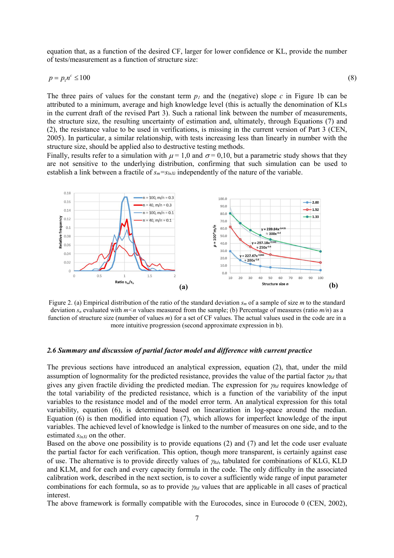equation that, as a function of the desired CF, larger for lower confidence or KL, provide the number of tests/measurement as a function of structure size:

$$
p = p_1 n^c \le 100 \tag{8}
$$

The three pairs of values for the constant term  $p_1$  and the (negative) slope c in Figure 1b can be attributed to a minimum, average and high knowledge level (this is actually the denomination of KLs in the current draft of the revised Part 3). Such a rational link between the number of measurements, the structure size, the resulting uncertainty of estimation and, ultimately, through Equations (7) and (2), the resistance value to be used in verifications, is missing in the current version of Part 3 (CEN, 2005). In particular, a similar relationship, with tests increasing less than linearly in number with the structure size, should be applied also to destructive testing methods.

Finally, results refer to a simulation with  $\mu = 1.0$  and  $\sigma = 0.10$ , but a parametric study shows that they are not sensitive to the underlying distribution, confirming that such simulation can be used to establish a link between a fractile of  $s_m = s_{lnX_i}$  independently of the nature of the variable.



Figure 2. (a) Empirical distribution of the ratio of the standard deviation  $s_m$  of a sample of size m to the standard deviation  $s_n$  evaluated with  $m \le n$  values measured from the sample; (b) Percentage of measures (ratio  $m/n$ ) as a function of structure size (number of values  $m$ ) for a set of CF values. The actual values used in the code are in a more intuitive progression (second approximate expression in b).

#### 2.6 Summary and discussion of partial factor model and difference with current practice

The previous sections have introduced an analytical expression, equation (2), that, under the mild assumption of lognormality for the predicted resistance, provides the value of the partial factor  $\gamma_{Rd}$  that gives any given fractile dividing the predicted median. The expression for  $\gamma_{Rd}$  requires knowledge of the total variability of the predicted resistance, which is a function of the variability of the input variables to the resistance model and of the model error term. An analytical expression for this total variability, equation (6), is determined based on linearization in log-space around the median. Equation (6) is then modified into equation (7), which allows for imperfect knowledge of the input variables. The achieved level of knowledge is linked to the number of measures on one side, and to the estimated  $s_{lnXi}$  on the other.

Based on the above one possibility is to provide equations (2) and (7) and let the code user evaluate the partial factor for each verification. This option, though more transparent, is certainly against ease of use. The alternative is to provide directly values of  $\gamma_{\text{Rd}}$ , tabulated for combinations of KLG, KLD and KLM, and for each and every capacity formula in the code. The only difficulty in the associated calibration work, described in the next section, is to cover a sufficiently wide range of input parameter combinations for each formula, so as to provide  $\gamma_{rd}$  values that are applicable in all cases of practical interest.

The above framework is formally compatible with the Eurocodes, since in Eurocode 0 (CEN, 2002),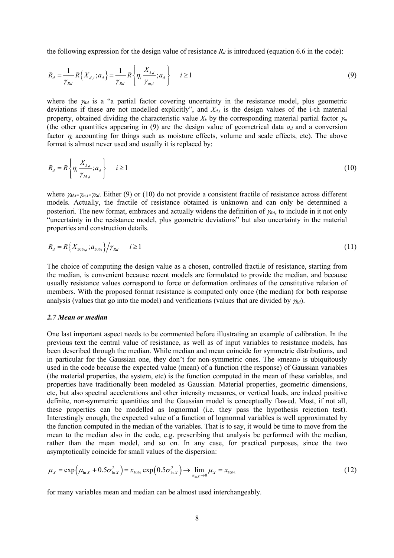the following expression for the design value of resistance  $R_d$  is introduced (equation 6.6 in the code):

the following expression for the design value of resistance 
$$
R_d
$$
 is introduced (equation 6.6 in the code):  
\n
$$
R_d = \frac{1}{\gamma_{Rd}} R\{X_{d,i}; a_d\} = \frac{1}{\gamma_{Rd}} R\{\eta_i \frac{X_{k,i}}{\gamma_{m,i}}; a_d\} \qquad i \ge 1
$$
\n(9)  
\nwhere the  $\gamma_{Rd}$  is a "a partial factor covering uncertainty in the resistance model, plus geometric deviations if these are not modelled explicitly", and  $X_{d,i}$  is the design values of the i-th material

where the  $\gamma_{Rd}$  is a "a partial factor covering uncertainty in the resistance model, plus geometric deviations if these are not modelled explicitly", and  $X_{d,i}$  is the design values of the i-th material property, obtained dividing the characteristic value  $X_k$  by the corresponding material partial factor  $\gamma_m$ (the other quantities appearing in (9) are the design value of geometrical data  $a_d$  and a conversion factor  $\eta_i$  accounting for things such as moisture effects, volume and scale effects, etc). The above format is almost never used and usually it is replaced by:

$$
R_d = R \left\{ \eta_i \frac{X_{k,i}}{\gamma_{M,i}}; a_d \right\} \qquad i \ge 1
$$
\n
$$
(10)
$$

where  $\gamma_{M,i} = \gamma_{m,i} \gamma_{Rd}$ . Either (9) or (10) do not provide a consistent fractile of resistance across different models. Actually, the fractile of resistance obtained is unknown and can only be determined a posteriori. The new format, embraces and actually widens the definition of  $\gamma_{Rd}$ , to include in it not only "uncertainty in the resistance model, plus geometric deviations" but also uncertainty in the material properties and construction details.

$$
R_d = R\{X_{50\%i}; a_{50\%}\}/\gamma_{Rd} \qquad i \ge 1
$$
\n(11)

The choice of computing the design value as a chosen, controlled fractile of resistance, starting from the median, is convenient because recent models are formulated to provide the median, and because usually resistance values correspond to force or deformation ordinates of the constitutive relation of members. With the proposed format resistance is computed only once (the median) for both response analysis (values that go into the model) and verifications (values that are divided by  $\gamma_{Rd}$ ).

### 2.7 Mean or median

One last important aspect needs to be commented before illustrating an example of calibration. In the previous text the central value of resistance, as well as of input variables to resistance models, has been described through the median. While median and mean coincide for symmetric distributions, and in particular for the Gaussian one, they don't for non-symmetric ones. The «mean» is ubiquitously used in the code because the expected value (mean) of a function (the response) of Gaussian variables (the material properties, the system, etc) is the function computed in the mean of these variables, and properties have traditionally been modeled as Gaussian. Material properties, geometric dimensions, etc, but also spectral accelerations and other intensity measures, or vertical loads, are indeed positive definite, non-symmetric quantities and the Gaussian model is conceptually flawed. Most, if not all, these properties can be modelled as lognormal (i.e. they pass the hypothesis rejection test). Interestingly enough, the expected value of a function of lognormal variables is well approximated by the function computed in the median of the variables. That is to say, it would be time to move from the mean to the median also in the code, e.g. prescribing that analysis be performed with the median, rather than the mean model, and so on. In any case, for practical purposes, since the two asymptotically coincide for small values of the dispersion:

$$
\mu_X = \exp\left(\mu_{\ln X} + 0.5\sigma_{\ln X}^2\right) = x_{50\%} \exp\left(0.5\sigma_{\ln X}^2\right) \to \lim_{\sigma_{\ln X} \to 0} \mu_X = x_{50\%}
$$
\n(12)

for many variables mean and median can be almost used interchangeably.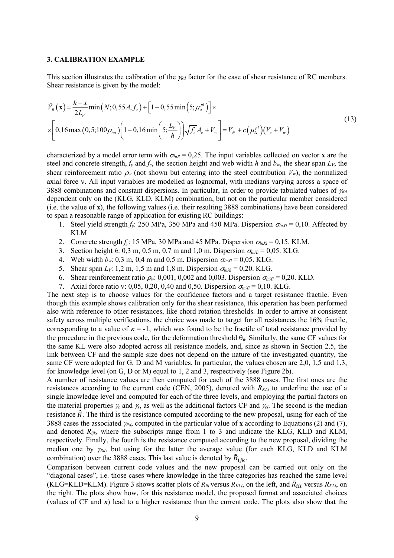### 3. CALIBRATION EXAMPLE

This section illustrates the calibration of the  $\gamma_{rd}$  factor for the case of shear resistance of RC members. Shear resistance is given by the model:

3. CALIBRATION EXAMPLE  
\nThis section illustrates the calibration of the 
$$
\gamma_{Rd}
$$
 factor for the case of shear resistance of RC members.  
\nShear resistance is given by the model:  
\n
$$
\hat{V}_R(\mathbf{x}) = \frac{h - x}{2L_V} \min(N; 0, 55A_c f_c) + [1 - 0, 55 \min(5; \mu_A^{pl})] \times
$$
\n
$$
\times \left[ 0, 16 \max(0, 5; 100 \rho_{tot}) \left( 1 - 0, 16 \min\left(5; \frac{L_V}{h}\right) \right) \sqrt{f_c} A_c + V_w \right] = V_N + c \left( \mu_A^{pl} \right) \left( V_c + V_w \right)
$$
\n(13)  
\ncharacterized by a model error term with  $\sigma_{lnR} = 0, 25$ . The input variables collected on vector **x** are the  
\nsteel and concrete strength,  $f_y$  and  $f_c$ , the section height and web width *h* and  $b_w$ , the shear span  $L_V$ , the  
\nshear an information of the system, but entering into the total contribution  $V$ .) the normalized

characterized by a model error term with  $\sigma_{lnR} = 0.25$ . The input variables collected on vector **x** are the steel and concrete strength,  $f_y$  and  $f_c$ , the section height and web width h and  $b_w$ , the shear span  $L_V$ , the shear reinforcement ratio  $\rho_w$  (not shown but entering into the steel contribution  $V_w$ ), the normalized axial force v. All input variables are modelled as lognormal, with medians varying across a space of 3888 combinations and constant dispersions. In particular, in order to provide tabulated values of  $\gamma_{Rd}$ dependent only on the (KLG, KLD, KLM) combination, but not on the particular member considered (i.e. the value of x), the following values (i.e. their resulting 3888 combinations) have been considered to span a reasonable range of application for existing RC buildings:

- 1. Steel yield strength  $f_v$ : 250 MPa, 350 MPa and 450 MPa. Dispersion  $\sigma_{lnX_i} = 0,10$ . Affected by KLM
- 2. Concrete strength  $f_y$ : 15 MPa, 30 MPa and 45 MPa. Dispersion  $\sigma_{lnX_i} = 0.15$ . KLM.
- 3. Section height h: 0,3 m, 0,5 m, 0,7 m and 1,0 m. Dispersion  $\sigma_{nX_i} = 0.05$ . KLG.
- 4. Web width  $b_w$ : 0,3 m, 0,4 m and 0,5 m. Dispersion  $\sigma_{lnXi} = 0.05$ . KLG.
- 5. Shear span  $L_V$ : 1,2 m, 1,5 m and 1,8 m. Dispersion  $\sigma_{lnX_i} = 0.20$ . KLG.
- 6. Shear reinforcement ratio  $\rho_w$ : 0,001, 0,002 and 0,003. Dispersion  $\sigma_{nX_i} = 0.20$ . KLD.
- 7. Axial force ratio v: 0,05, 0,20, 0,40 and 0,50. Dispersion  $\sigma_{lnX_i} = 0,10$ . KLG.

The next step is to choose values for the confidence factors and a target resistance fractile. Even though this example shows calibration only for the shear resistance, this operation has been performed also with reference to other resistances, like chord rotation thresholds. In order to arrive at consistent safety across multiple verifications, the choice was made to target for all resistances the 16% fractile, corresponding to a value of  $\kappa = -1$ , which was found to be the fractile of total resistance provided by the procedure in the previous code, for the deformation threshold  $\theta_{\mu}$ . Similarly, the same CF values for the same KL were also adopted across all resistance models, and, since as shown in Section 2.5, the link between CF and the sample size does not depend on the nature of the investigated quantity, the same CF were adopted for G, D and M variables. In particular, the values chosen are 2,0, 1,5 and 1,3, for knowledge level (on G, D or M) equal to 1, 2 and 3, respectively (see Figure 2b).

A number of resistance values are then computed for each of the 3888 cases. The first ones are the resistances according to the current code (CEN, 2005), denoted with  $R_{KL}$  to underline the use of a single knowledge level and computed for each of the three levels, and employing the partial factors on the material properties  $\gamma_c$  and  $\gamma_s$ , as well as the additional factors CF and  $\gamma_{el}$ . The second is the median resistance  $\hat{R}$ . The third is the resistance computed according to the new proposal, using for each of the 3888 cases the associated  $\gamma_{\alpha d}$ , computed in the particular value of x according to Equations (2) and (7), and denoted  $R_{ijk}$ , where the subscripts range from 1 to 3 and indicate the KLG, KLD and KLM, respectively. Finally, the fourth is the resistance computed according to the new proposal, dividing the median one by  $\gamma_{Rd}$ , but using for the latter the average value (for each KLG, KLD and KLM combination) over the 3888 cases. This last value is denoted by  $\tilde{R}_{ijk}$ .

Comparison between current code values and the new proposal can be carried out only on the "diagonal cases", i.e. those cases where knowledge in the three categories has reached the same level (KLG=KLD=KLM). Figure 3 shows scatter plots of  $R_{iii}$  versus  $R_{KLi}$ , on the left, and  $\tilde{R}_{iii}$  versus  $R_{KLi}$ , on the right. The plots show how, for this resistance model, the proposed format and associated choices (values of CF and  $\kappa$ ) lead to a higher resistance than the current code. The plots also show that the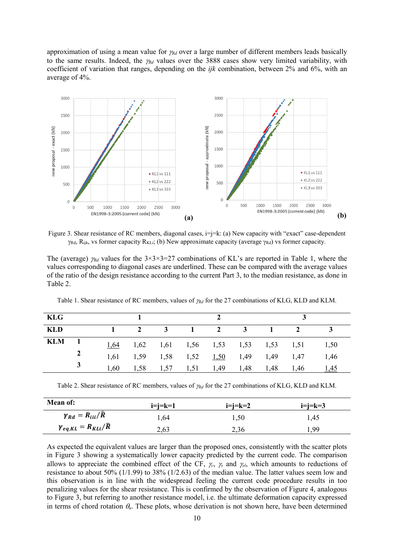approximation of using a mean value for  $\gamma_{Rd}$  over a large number of different members leads basically to the same results. Indeed, the  $\gamma_{Rd}$  values over the 3888 cases show very limited variability, with coefficient of variation that ranges, depending on the  $ijk$  combination, between 2% and 6%, with an average of 4%.



Figure 3. Shear resistance of RC members, diagonal cases, i=j=k: (a) New capacity with "exact" case-dependent  $\gamma_{\text{Rd}}$ , R<sub>ijk</sub>, vs former capacity R<sub>KLi</sub>; (b) New approximate capacity (average  $\gamma_{\text{Rd}}$ ) vs former capacity.

The (average)  $\gamma_{Rd}$  values for the 3×3×3=27 combinations of KL's are reported in Table 1, where the values corresponding to diagonal cases are underlined. These can be compared with the average values of the ratio of the design resistance according to the current Part 3, to the median resistance, as done in Table 2.

| KLG |              |      |  |  |                                           |               |             |
|-----|--------------|------|--|--|-------------------------------------------|---------------|-------------|
| KLD |              |      |  |  |                                           | 2 3 1 2 3 1 2 |             |
| KLM |              |      |  |  | $1,64$ 1,62 1,61 1,56 1,53 1,53 1,53 1,51 |               | 1,50        |
|     | $\mathbf{2}$ | 1,61 |  |  | 1,59 1,58 1,52 1,50 1,49 1,49 1,47        |               | 1,46        |
|     | $\mathbf{3}$ | 1,60 |  |  | 1,58 1,57 1,51 1,49 1,48 1,48 1,46        |               | <u>1,45</u> |

Table 1. Shear resistance of RC members, values of  $\gamma_{Rd}$  for the 27 combinations of KLG, KLD and KLM.

Table 2. Shear resistance of RC members, values of  $\gamma_{Rd}$  for the 27 combinations of KLG, KLD and KLM.

| <b>Mean of:</b>                       | $i=i=k=1$ | $i=j=k=2$ | $i=i=k=3$ |  |  |
|---------------------------------------|-----------|-----------|-----------|--|--|
| $\gamma_{Rd} = R_{iii}/\widehat{R}$   | 1,64      | 1,50      | 1,45      |  |  |
| $\gamma_{eq,KL} = R_{KL}/\widehat{R}$ | 2,63      | 2.36      | 99ء       |  |  |

As expected the equivalent values are larger than the proposed ones, consistently with the scatter plots in Figure 3 showing a systematically lower capacity predicted by the current code. The comparison allows to appreciate the combined effect of the CF,  $\gamma_c$ ,  $\gamma_s$  and  $\gamma_{el}$ , which amounts to reductions of resistance to about 50% (1/1.99) to 38% (1/2.63) of the median value. The latter values seem low and this observation is in line with the widespread feeling the current code procedure results in too penalizing values for the shear resistance. This is confirmed by the observation of Figure 4, analogous to Figure 3, but referring to another resistance model, i.e. the ultimate deformation capacity expressed in terms of chord rotation  $\theta_u$ . These plots, whose derivation is not shown here, have been determined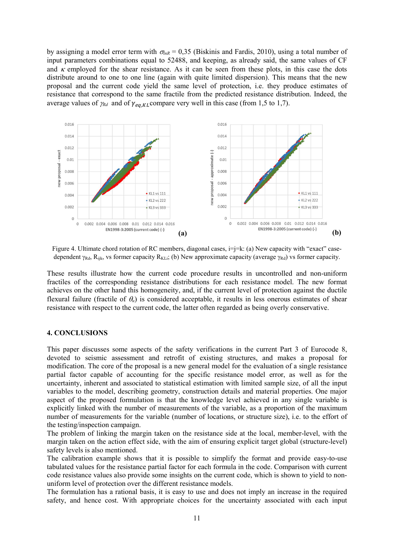by assigning a model error term with  $\sigma_{lnR} = 0.35$  (Biskinis and Fardis, 2010), using a total number of input parameters combinations equal to 52488, and keeping, as already said, the same values of CF and  $\kappa$  employed for the shear resistance. As it can be seen from these plots, in this case the dots distribute around to one to one line (again with quite limited dispersion). This means that the new proposal and the current code yield the same level of protection, i.e. they produce estimates of resistance that correspond to the same fractile from the predicted resistance distribution. Indeed, the average values of  $\gamma_{Rd}$  and of  $\gamma_{eq,KL}$ compare very well in this case (from 1,5 to 1,7).



Figure 4. Ultimate chord rotation of RC members, diagonal cases,  $i=$ j=k: (a) New capacity with "exact" casedependent  $\gamma_{Rd}$ , R<sub>ijk</sub>, vs former capacity R<sub>KLi</sub>; (b) New approximate capacity (average  $\gamma_{Rd}$ ) vs former capacity.

These results illustrate how the current code procedure results in uncontrolled and non-uniform fractiles of the corresponding resistance distributions for each resistance model. The new format achieves on the other hand this homogeneity, and, if the current level of protection against the ductile flexural failure (fractile of  $\theta_u$ ) is considered acceptable, it results in less onerous estimates of shear resistance with respect to the current code, the latter often regarded as being overly conservative.

## 4. CONCLUSIONS

This paper discusses some aspects of the safety verifications in the current Part 3 of Eurocode 8, devoted to seismic assessment and retrofit of existing structures, and makes a proposal for modification. The core of the proposal is a new general model for the evaluation of a single resistance partial factor capable of accounting for the specific resistance model error, as well as for the uncertainty, inherent and associated to statistical estimation with limited sample size, of all the input variables to the model, describing geometry, construction details and material properties. One major aspect of the proposed formulation is that the knowledge level achieved in any single variable is explicitly linked with the number of measurements of the variable, as a proportion of the maximum number of measurements for the variable (number of locations, or structure size), i.e. to the effort of the testing/inspection campaign.

The problem of linking the margin taken on the resistance side at the local, member-level, with the margin taken on the action effect side, with the aim of ensuring explicit target global (structure-level) safety levels is also mentioned.

The calibration example shows that it is possible to simplify the format and provide easy-to-use tabulated values for the resistance partial factor for each formula in the code. Comparison with current code resistance values also provide some insights on the current code, which is shown to yield to nonuniform level of protection over the different resistance models.

The formulation has a rational basis, it is easy to use and does not imply an increase in the required safety, and hence cost. With appropriate choices for the uncertainty associated with each input